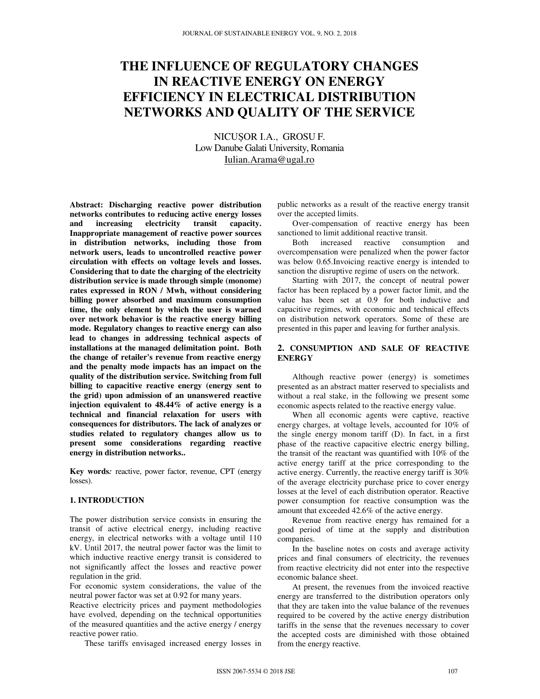# **THE INFLUENCE OF REGULATORY CHANGES IN REACTIVE ENERGY ON ENERGY EFFICIENCY IN ELECTRICAL DISTRIBUTION NETWORKS AND QUALITY OF THE SERVICE**

NICUȘOR I.A., GROSU F. Low Danube Galati University, Romania Iulian.Arama@ugal.ro

**Abstract: Discharging reactive power distribution networks contributes to reducing active energy losses and increasing electricity transit capacity. Inappropriate management of reactive power sources in distribution networks, including those from network users, leads to uncontrolled reactive power circulation with effects on voltage levels and losses. Considering that to date the charging of the electricity distribution service is made through simple (monome) rates expressed in RON / Mwh, without considering billing power absorbed and maximum consumption time, the only element by which the user is warned over network behavior is the reactive energy billing mode. Regulatory changes to reactive energy can also lead to changes in addressing technical aspects of installations at the managed delimitation point. Both the change of retailer's revenue from reactive energy and the penalty mode impacts has an impact on the quality of the distribution service. Switching from full billing to capacitive reactive energy (energy sent to the grid) upon admission of an unanswered reactive injection equivalent to 48.44% of active energy is a technical and financial relaxation for users with consequences for distributors. The lack of analyzes or studies related to regulatory changes allow us to present some considerations regarding reactive energy in distribution networks..** 

**Key words***:* reactive, power factor, revenue, CPT (energy losses).

## **1. INTRODUCTION**

The power distribution service consists in ensuring the transit of active electrical energy, including reactive energy, in electrical networks with a voltage until 110 kV. Until 2017, the neutral power factor was the limit to which inductive reactive energy transit is considered to not significantly affect the losses and reactive power regulation in the grid.

For economic system considerations, the value of the neutral power factor was set at 0.92 for many years.

Reactive electricity prices and payment methodologies have evolved, depending on the technical opportunities of the measured quantities and the active energy / energy reactive power ratio.

These tariffs envisaged increased energy losses in

public networks as a result of the reactive energy transit over the accepted limits.

Over-compensation of reactive energy has been sanctioned to limit additional reactive transit.

Both increased reactive consumption and overcompensation were penalized when the power factor was below 0.65. Invoicing reactive energy is intended to sanction the disruptive regime of users on the network.

Starting with 2017, the concept of neutral power factor has been replaced by a power factor limit, and the value has been set at 0.9 for both inductive and capacitive regimes, with economic and technical effects on distribution network operators. Some of these are presented in this paper and leaving for further analysis.

#### **2. CONSUMPTION AND SALE OF REACTIVE ENERGY**

Although reactive power (energy) is sometimes presented as an abstract matter reserved to specialists and without a real stake, in the following we present some economic aspects related to the reactive energy value.

When all economic agents were captive, reactive energy charges, at voltage levels, accounted for 10% of the single energy monom tariff (D). In fact, in a first phase of the reactive capacitive electric energy billing, the transit of the reactant was quantified with 10% of the active energy tariff at the price corresponding to the active energy. Currently, the reactive energy tariff is 30% of the average electricity purchase price to cover energy losses at the level of each distribution operator. Reactive power consumption for reactive consumption was the amount that exceeded 42.6% of the active energy.

Revenue from reactive energy has remained for a good period of time at the supply and distribution companies.

In the baseline notes on costs and average activity prices and final consumers of electricity, the revenues from reactive electricity did not enter into the respective economic balance sheet.

At present, the revenues from the invoiced reactive energy are transferred to the distribution operators only that they are taken into the value balance of the revenues required to be covered by the active energy distribution tariffs in the sense that the revenues necessary to cover the accepted costs are diminished with those obtained from the energy reactive.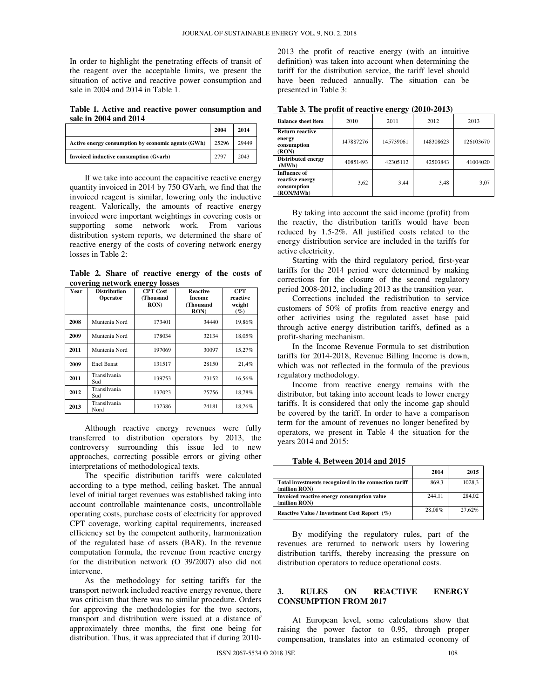In order to highlight the penetrating effects of transit of the reagent over the acceptable limits, we present the situation of active and reactive power consumption and sale in 2004 and 2014 in Table 1.

**Table 1. Active and reactive power consumption and sale in 2004 and 2014**

|                                                    | 2004  | 2014  |
|----------------------------------------------------|-------|-------|
| Active energy consumption by economic agents (GWh) | 25296 | 29449 |
| Invoiced inductive consumption (Gvarh)             | 2797  | 2043  |

If we take into account the capacitive reactive energy quantity invoiced in 2014 by 750 GVarh, we find that the invoiced reagent is similar, lowering only the inductive reagent. Valorically, the amounts of reactive energy invoiced were important weightings in covering costs or supporting some network work. From various distribution system reports, we determined the share of reactive energy of the costs of covering network energy losses in Table 2:

**Table 2. Share of reactive energy of the costs of covering network energy losses** 

| Year | <b>Distribution</b><br>Operator | <b>CPT</b> Cost<br>(Thousand<br>RON() | <b>Reactive</b><br><b>Income</b><br>(Thousand<br><b>RON</b> | <b>CPT</b><br>reactive<br>weight<br>$($ %) |
|------|---------------------------------|---------------------------------------|-------------------------------------------------------------|--------------------------------------------|
| 2008 | Muntenia Nord                   | 173401                                | 34440                                                       | 19,86%                                     |
| 2009 | Muntenia Nord                   | 178034                                | 32134                                                       | 18,05%                                     |
| 2011 | Muntenia Nord                   | 197069                                | 30097                                                       | 15,27%                                     |
| 2009 | Enel Banat                      | 131517                                | 28150                                                       | 21,4%                                      |
| 2011 | Transilvania<br>Sud             | 139753                                | 23152                                                       | 16.56%                                     |
| 2012 | Transilvania<br>Sud             | 137023                                | 25756                                                       | 18,78%                                     |
| 2013 | Transilvania<br>Nord            | 132386                                | 24181                                                       | 18,26%                                     |

Although reactive energy revenues were fully transferred to distribution operators by 2013, the controversy surrounding this issue led to new approaches, correcting possible errors or giving other interpretations of methodological texts.

The specific distribution tariffs were calculated according to a type method, ceiling basket. The annual level of initial target revenues was established taking into account controllable maintenance costs, uncontrollable operating costs, purchase costs of electricity for approved CPT coverage, working capital requirements, increased efficiency set by the competent authority, harmonization of the regulated base of assets (BAR). In the revenue computation formula, the revenue from reactive energy for the distribution network (O 39/2007) also did not intervene.

As the methodology for setting tariffs for the transport network included reactive energy revenue, there was criticism that there was no similar procedure. Orders for approving the methodologies for the two sectors, transport and distribution were issued at a distance of approximately three months, the first one being for distribution. Thus, it was appreciated that if during 20102013 the profit of reactive energy (with an intuitive definition) was taken into account when determining the tariff for the distribution service, the tariff level should have been reduced annually. The situation can be presented in Table 3:

| Table 5. The profit of reactive energy<br>AVIV AVIVI        |           |           |           |           |
|-------------------------------------------------------------|-----------|-----------|-----------|-----------|
| <b>Balance sheet item</b>                                   | 2010      | 2011      | 2012      | 2013      |
| <b>Return reactive</b><br>energy<br>consumption<br>(RON)    | 147887276 | 145739061 | 148308623 | 126103670 |
| <b>Distributed energy</b><br>(MWh)                          | 40851493  | 42305112  | 42503843  | 41004020  |
| Influence of<br>reactive energy<br>consumption<br>(RON/MWh) | 3,62      | 3,44      | 3,48      | 3,07      |

**Table 3. The profit of reactive energy (2010-2013)** 

By taking into account the said income (profit) from the reactiv, the distribution tariffs would have been reduced by 1.5-2%. All justified costs related to the energy distribution service are included in the tariffs for active electricity.

Starting with the third regulatory period, first-year tariffs for the 2014 period were determined by making corrections for the closure of the second regulatory period 2008-2012, including 2013 as the transition year.

Corrections included the redistribution to service customers of 50% of profits from reactive energy and other activities using the regulated asset base paid through active energy distribution tariffs, defined as a profit-sharing mechanism.

In the Income Revenue Formula to set distribution tariffs for 2014-2018, Revenue Billing Income is down, which was not reflected in the formula of the previous regulatory methodology.

Income from reactive energy remains with the distributor, but taking into account leads to lower energy tariffs. It is considered that only the income gap should be covered by the tariff. In order to have a comparison term for the amount of revenues no longer benefited by operators, we present in Table 4 the situation for the years 2014 and 2015:

**Table 4. Between 2014 and 2015** 

|                                                                        | 2014   | 2015   |
|------------------------------------------------------------------------|--------|--------|
| Total investments recognized in the connection tariff<br>(million RON) | 869.3  | 1028.3 |
| Invoiced reactive energy consumption value<br>(million RON)            | 244.11 | 284.02 |
| Reactive Value / Investment Cost Report (%)                            | 28.08% | 27.62% |

By modifying the regulatory rules, part of the revenues are returned to network users by lowering distribution tariffs, thereby increasing the pressure on distribution operators to reduce operational costs.

#### **3. RULES ON REACTIVE ENERGY CONSUMPTION FROM 2017**

At European level, some calculations show that raising the power factor to 0.95, through proper compensation, translates into an estimated economy of